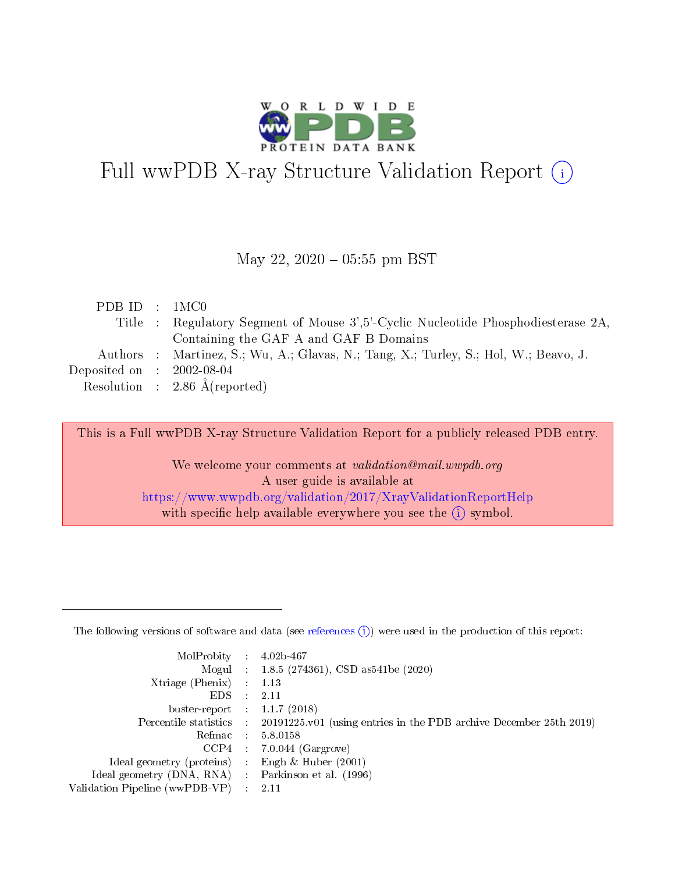

# Full wwPDB X-ray Structure Validation Report (i)

### May 22,  $2020 - 05:55$  pm BST

| PDB ID : 1MC0               |                                                                                      |
|-----------------------------|--------------------------------------------------------------------------------------|
|                             | Title : Regulatory Segment of Mouse 3',5'-Cyclic Nucleotide Phosphodiesterase 2A,    |
|                             | Containing the GAF A and GAF B Domains                                               |
|                             | Authors : Martinez, S.; Wu, A.; Glavas, N.; Tang, X.; Turley, S.; Hol, W.; Beavo, J. |
| Deposited on : $2002-08-04$ |                                                                                      |
|                             | Resolution : 2.86 $\AA$ (reported)                                                   |

This is a Full wwPDB X-ray Structure Validation Report for a publicly released PDB entry.

We welcome your comments at validation@mail.wwpdb.org A user guide is available at <https://www.wwpdb.org/validation/2017/XrayValidationReportHelp> with specific help available everywhere you see the  $(i)$  symbol.

The following versions of software and data (see [references](https://www.wwpdb.org/validation/2017/XrayValidationReportHelp#references)  $(1)$ ) were used in the production of this report:

| MolProbity                     | $\mathcal{L}_{\rm{max}}$ | $4.02b - 467$                                                                |
|--------------------------------|--------------------------|------------------------------------------------------------------------------|
|                                |                          | Mogul : $1.8.5$ (274361), CSD as 541be (2020)                                |
| $X$ triage (Phenix) :          |                          | 1.13                                                                         |
| EDS.                           |                          | 2.11                                                                         |
| buster-report : $1.1.7$ (2018) |                          |                                                                              |
| Percentile statistics :        |                          | $20191225 \text{ v}01$ (using entries in the PDB archive December 25th 2019) |
| Refmac                         |                          | 5.8.0158                                                                     |
| $CCP4$ :                       |                          | $7.0.044$ (Gargrove)                                                         |
| Ideal geometry (proteins) :    |                          | Engh $\&$ Huber (2001)                                                       |
| Ideal geometry (DNA, RNA) :    |                          | Parkinson et al. (1996)                                                      |
| Validation Pipeline (wwPDB-VP) | $\mathcal{L}$            | -2.11                                                                        |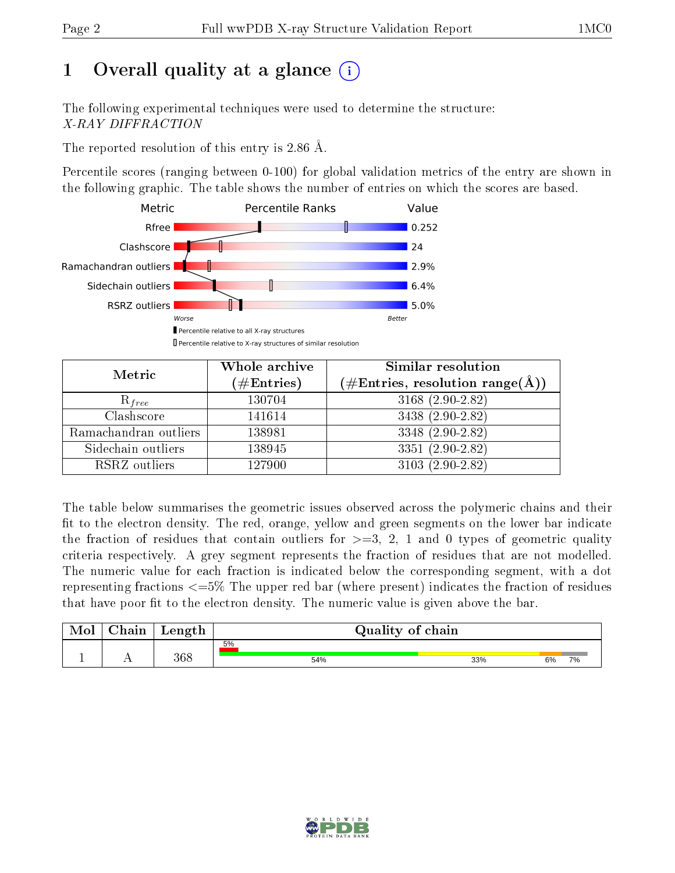# 1 [O](https://www.wwpdb.org/validation/2017/XrayValidationReportHelp#overall_quality)verall quality at a glance  $(i)$

The following experimental techniques were used to determine the structure: X-RAY DIFFRACTION

The reported resolution of this entry is 2.86 Å.

Percentile scores (ranging between 0-100) for global validation metrics of the entry are shown in the following graphic. The table shows the number of entries on which the scores are based.



| Metric                | Whole archive<br>$(\#\text{Entries})$ | Similar resolution<br>$(\#\text{Entries}, \text{resolution range}(\text{\AA}))$ |
|-----------------------|---------------------------------------|---------------------------------------------------------------------------------|
| $R_{free}$            | 130704                                | 3168 (2.90-2.82)                                                                |
| Clashscore            | 141614                                | 3438 (2.90-2.82)                                                                |
| Ramachandran outliers | 138981                                | $3348(2.90-2.82)$                                                               |
| Sidechain outliers    | 138945                                | $3351 (2.90 - 2.82)$                                                            |
| RSRZ outliers         | 127900                                | $3103(2.90-2.82)$                                                               |

The table below summarises the geometric issues observed across the polymeric chains and their fit to the electron density. The red, orange, yellow and green segments on the lower bar indicate the fraction of residues that contain outliers for  $>=3, 2, 1$  and 0 types of geometric quality criteria respectively. A grey segment represents the fraction of residues that are not modelled. The numeric value for each fraction is indicated below the corresponding segment, with a dot representing fractions  $\epsilon=5\%$  The upper red bar (where present) indicates the fraction of residues that have poor fit to the electron density. The numeric value is given above the bar.

| Mol | nain i | Length |     | Quality of chain       |
|-----|--------|--------|-----|------------------------|
|     |        |        | 5%  |                        |
|     | . .    | 368    | 54% | 33%<br>6%<br><b>7%</b> |

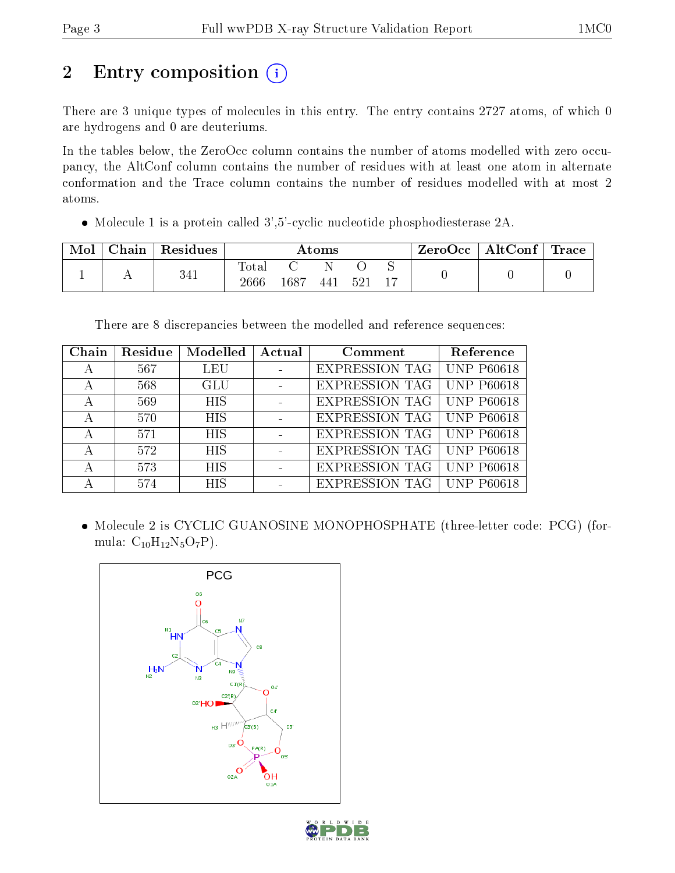# 2 Entry composition (i)

There are 3 unique types of molecules in this entry. The entry contains 2727 atoms, of which 0 are hydrogens and 0 are deuteriums.

In the tables below, the ZeroOcc column contains the number of atoms modelled with zero occupancy, the AltConf column contains the number of residues with at least one atom in alternate conformation and the Trace column contains the number of residues modelled with at most 2 atoms.

Molecule 1 is a protein called 3',5'-cyclic nucleotide phosphodiesterase 2A.

| Mol | Chain   Residues | Atoms               |      |     |      | ZeroOcc   AltConf   Trace |  |  |
|-----|------------------|---------------------|------|-----|------|---------------------------|--|--|
|     | 341              | $\rm Total$<br>2666 | 1687 | 441 | -521 |                           |  |  |

There are 8 discrepancies between the modelled and reference sequences:

| Chain | Residue | Modelled   | Actual | Comment               | Reference         |
|-------|---------|------------|--------|-----------------------|-------------------|
| А     | 567     | <b>LEU</b> |        | <b>EXPRESSION TAG</b> | <b>UNP P60618</b> |
| А     | 568     | <b>GLU</b> |        | <b>EXPRESSION TAG</b> | <b>UNP P60618</b> |
| А     | 569     | <b>HIS</b> |        | <b>EXPRESSION TAG</b> | <b>UNP P60618</b> |
| А     | 570     | <b>HIS</b> |        | <b>EXPRESSION TAG</b> | <b>UNP P60618</b> |
| А     | 571     | <b>HIS</b> |        | EXPRESSION TAG        | <b>UNP P60618</b> |
| А     | 572     | <b>HIS</b> |        | <b>EXPRESSION TAG</b> | <b>UNP P60618</b> |
|       | 573     | <b>HIS</b> |        | <b>EXPRESSION TAG</b> | <b>UNP P60618</b> |
|       | 574     | <b>HIS</b> |        | <b>EXPRESSION TAG</b> | <b>UNP P60618</b> |

 Molecule 2 is CYCLIC GUANOSINE MONOPHOSPHATE (three-letter code: PCG) (formula:  $C_{10}H_{12}N_5O_7P$ ).



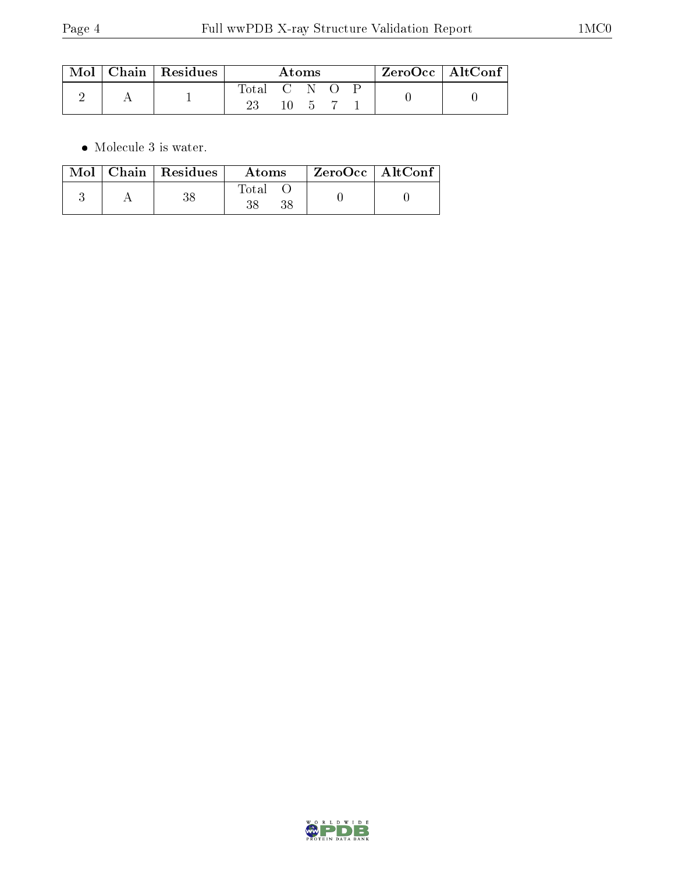| $\operatorname{Mol}$ | $\mid$ Chain $\mid$ Residues | Atoms       |    |  |  | $ZeroOcc$   AltConf |  |  |
|----------------------|------------------------------|-------------|----|--|--|---------------------|--|--|
|                      |                              | Total C N O |    |  |  |                     |  |  |
|                      |                              |             | 10 |  |  |                     |  |  |

 $\bullet\,$  Molecule 3 is water.

|  | $\text{Mol}$   Chain   Residues | Atoms             | $ZeroOcc \mid AltConf$ |  |
|--|---------------------------------|-------------------|------------------------|--|
|  |                                 | $\rm Total$<br>38 |                        |  |

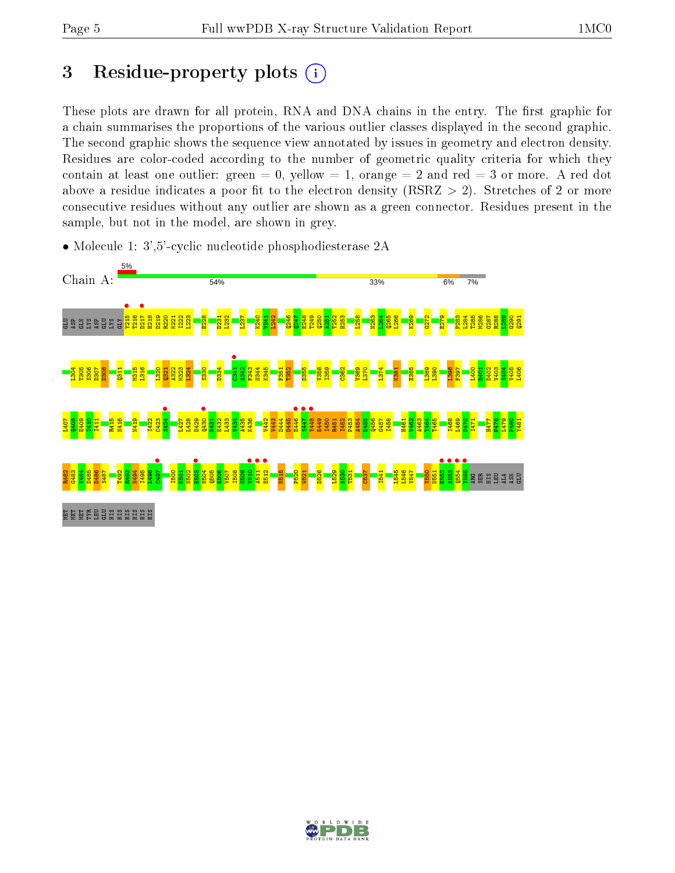# 3 Residue-property plots  $(i)$

These plots are drawn for all protein, RNA and DNA chains in the entry. The first graphic for a chain summarises the proportions of the various outlier classes displayed in the second graphic. The second graphic shows the sequence view annotated by issues in geometry and electron density. Residues are color-coded according to the number of geometric quality criteria for which they contain at least one outlier: green  $= 0$ , yellow  $= 1$ , orange  $= 2$  and red  $= 3$  or more. A red dot above a residue indicates a poor fit to the electron density (RSRZ  $> 2$ ). Stretches of 2 or more consecutive residues without any outlier are shown as a green connector. Residues present in the sample, but not in the model, are shown in grey.



• Molecule 1: 3',5'-cyclic nucleotide phosphodiesterase 2A

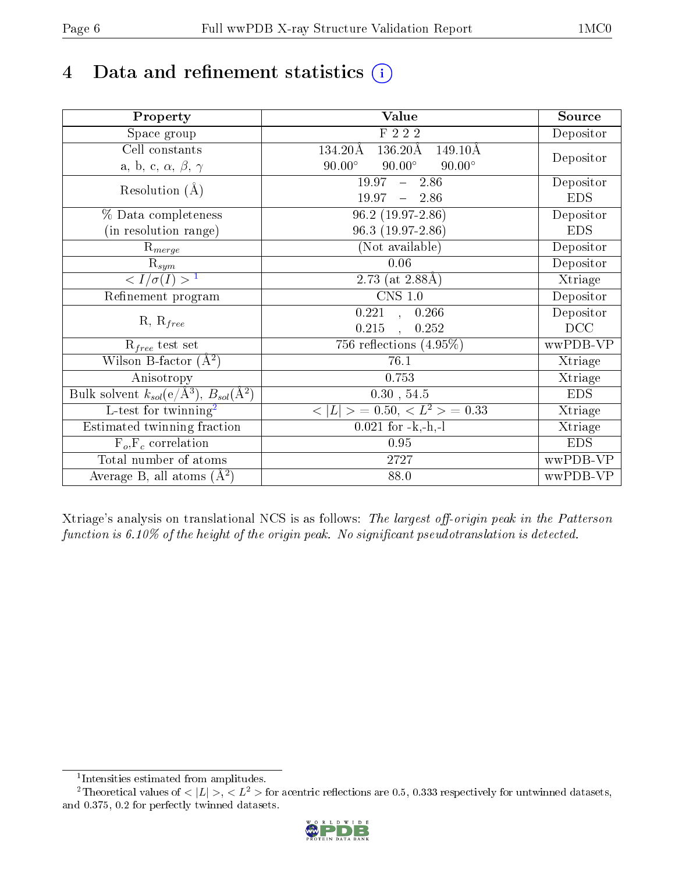# 4 Data and refinement statistics  $(i)$

| Property                                                             | <b>Value</b>                                        | Source     |
|----------------------------------------------------------------------|-----------------------------------------------------|------------|
| Space group                                                          | F 2 2 2                                             | Depositor  |
| Cell constants                                                       | $136.20\text{\AA}$<br>134.20Å<br>$149.10\text{\AA}$ |            |
| a, b, c, $\alpha$ , $\beta$ , $\gamma$                               | $90.00^\circ$<br>$90.00^\circ$<br>$90.00^\circ$     | Depositor  |
| Resolution $(A)$                                                     | 19.97<br>$-2.86$                                    | Depositor  |
|                                                                      | 19.97<br>$-2.86$                                    | <b>EDS</b> |
| % Data completeness                                                  | $96.2(19.97-2.86)$                                  | Depositor  |
| (in resolution range)                                                | $96.3(19.97-2.86)$                                  | <b>EDS</b> |
| $R_{merge}$                                                          | (Not available)                                     | Depositor  |
| $\mathrm{R}_{sym}$                                                   | 0.06                                                | Depositor  |
| $\langle I/\sigma(I) \rangle^{-1}$                                   | 2.73 (at $2.88\text{\AA}$ )                         | Xtriage    |
| Refinement program                                                   | $\overline{\text{CNS} 1.0}$                         | Depositor  |
|                                                                      | 0.221<br>0.266<br>$\sim$                            | Depositor  |
| $R, R_{free}$                                                        | 0.215<br>0.252<br>$\overline{\phantom{a}}$          | DCC        |
| $R_{free}$ test set                                                  | 756 reflections $(4.95\%)$                          | wwPDB-VP   |
| Wilson B-factor $(A^2)$                                              | 76.1                                                | Xtriage    |
| Anisotropy                                                           | 0.753                                               | Xtriage    |
| Bulk solvent $k_{sol}(e/\mathring{A}^3)$ , $B_{sol}(\mathring{A}^2)$ | $0.30\,$ , $54.5\,$                                 | <b>EDS</b> |
| L-test for twinning <sup>2</sup>                                     | $>$ = 0.50, < $L^2$ > = 0.33<br>< L                 | Xtriage    |
| Estimated twinning fraction                                          | $0.021$ for $-k,-h,-l$                              | Xtriage    |
| $F_o, F_c$ correlation                                               | 0.95                                                | <b>EDS</b> |
| Total number of atoms                                                | 2727                                                | wwPDB-VP   |
| Average B, all atoms $(A^2)$                                         | 88.0                                                | wwPDB-VP   |

Xtriage's analysis on translational NCS is as follows: The largest off-origin peak in the Patterson function is  $6.10\%$  of the height of the origin peak. No significant pseudotranslation is detected.

<sup>&</sup>lt;sup>2</sup>Theoretical values of  $\langle |L| \rangle$ ,  $\langle L^2 \rangle$  for acentric reflections are 0.5, 0.333 respectively for untwinned datasets, and 0.375, 0.2 for perfectly twinned datasets.



<span id="page-5-1"></span><span id="page-5-0"></span><sup>1</sup> Intensities estimated from amplitudes.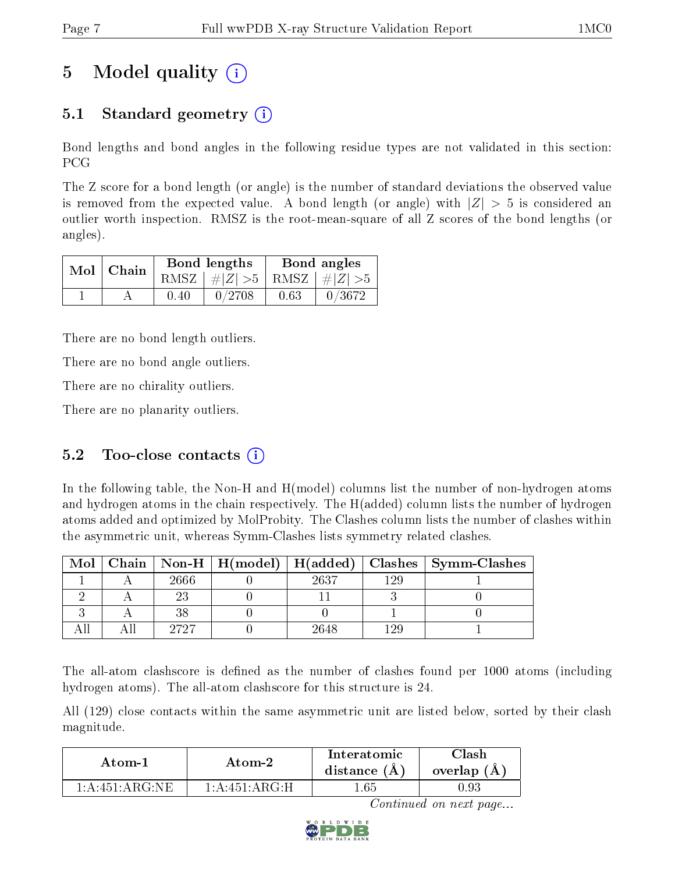# 5 Model quality  $(i)$

# 5.1 Standard geometry (i)

Bond lengths and bond angles in the following residue types are not validated in this section: PCG

The Z score for a bond length (or angle) is the number of standard deviations the observed value is removed from the expected value. A bond length (or angle) with  $|Z| > 5$  is considered an outlier worth inspection. RMSZ is the root-mean-square of all Z scores of the bond lengths (or angles).

|  | $Mol$   Chain |      | Bond lengths                    | Bond angles |        |  |
|--|---------------|------|---------------------------------|-------------|--------|--|
|  |               |      | RMSZ $ #Z  > 5$ RMSZ $ #Z  > 5$ |             |        |  |
|  |               | 0.40 | 0/2708                          | 0.63        | 0/3672 |  |

There are no bond length outliers.

There are no bond angle outliers.

There are no chirality outliers.

There are no planarity outliers.

### 5.2 Too-close contacts  $(i)$

In the following table, the Non-H and H(model) columns list the number of non-hydrogen atoms and hydrogen atoms in the chain respectively. The H(added) column lists the number of hydrogen atoms added and optimized by MolProbity. The Clashes column lists the number of clashes within the asymmetric unit, whereas Symm-Clashes lists symmetry related clashes.

| Mol |      |      |       | Chain   Non-H   H(model)   H(added)   Clashes   Symm-Clashes |
|-----|------|------|-------|--------------------------------------------------------------|
|     | 2666 | 2637 | 199   |                                                              |
|     |      |      |       |                                                              |
|     | 38   |      |       |                                                              |
|     | 9797 | 2648 | 1 2 Q |                                                              |

The all-atom clashscore is defined as the number of clashes found per 1000 atoms (including hydrogen atoms). The all-atom clashscore for this structure is 24.

All (129) close contacts within the same asymmetric unit are listed below, sorted by their clash magnitude.

| Atom-1             | Atom-2           | Interatomic<br>distance $(A)$ | 7lash<br>overlap $(A)$ |
|--------------------|------------------|-------------------------------|------------------------|
| $1: A:451:AR$ G NE | $1:$ A:451:ARG·H | l.65                          | 0.93                   |

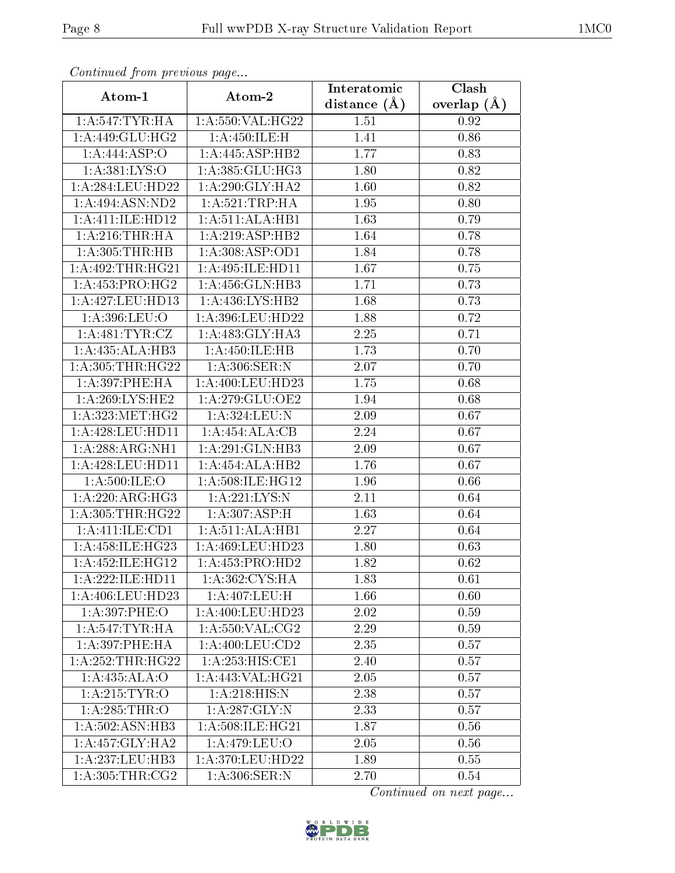|                              | сонинией јтоні ртеvious раде<br>Clash<br>Interatomic |                  |               |  |  |  |  |  |
|------------------------------|------------------------------------------------------|------------------|---------------|--|--|--|--|--|
| Atom-1                       | Atom-2                                               | distance $(\AA)$ | overlap $(A)$ |  |  |  |  |  |
| 1: A:547:TYR:HA              | 1:A:550:VAL:HG22                                     | 1.51             | 0.92          |  |  |  |  |  |
| 1: A:449: GLU: HG2           | 1: A:450: ILE:H                                      | 1.41             | 0.86          |  |  |  |  |  |
| 1:A:444:ASP:O                | 1:A:445:ASP:HB2                                      | 1.77             | 0.83          |  |  |  |  |  |
| 1:A:381:LYS:O                | 1:A:385:GLU:HG3                                      | 1.80             | 0.82          |  |  |  |  |  |
| 1: A:284:LEU:HD22            | 1: A:290: GLY:HA2                                    | 1.60             | 0.82          |  |  |  |  |  |
| 1:A:494:ASN:ND2              | 1: A:521:TRP:HA                                      | 1.95             | 0.80          |  |  |  |  |  |
| 1:A:411:IE:H <sub>D12</sub>  | 1:A:511:ALA:HB1                                      | 1.63             | 0.79          |  |  |  |  |  |
| 1: A:216:THR:HA              | 1:A:219:ASP:HB2                                      | 1.64             | 0.78          |  |  |  |  |  |
| 1: A:305:THR:HB              | 1: A:308: ASP:OD1                                    | 1.84             | 0.78          |  |  |  |  |  |
| 1:A:492:THR:HG21             | 1:A:495:ILE:HD11                                     | 1.67             | 0.75          |  |  |  |  |  |
| 1: A: 453: PRO:HG2           | 1:A:456:GLN:HB3                                      | 1.71             | 0.73          |  |  |  |  |  |
| 1:A:427:LEU:HD13             | 1:A:436:LYS:HB2                                      | 1.68             | 0.73          |  |  |  |  |  |
| 1:A:396:LEU:O                | $1:\overline{A}:396:\text{LEU}:HD22$                 | 1.88             | 0.72          |  |  |  |  |  |
| 1: A:481: TYR: CZ            | 1:A:483:GLY:HA3                                      | $2.25\,$         | 0.71          |  |  |  |  |  |
| 1:A:435:ALA:HB3              | 1:A:450:ILE:HB                                       | 1.73             | 0.70          |  |  |  |  |  |
| 1: A:305:THR:HG22            | 1: A:306: SER: N                                     | 2.07             | 0.70          |  |  |  |  |  |
| 1: A:397:PHE:HA              | 1: A:400:LEU:HD23                                    | 1.75             | 0.68          |  |  |  |  |  |
| $1:A:269:LYS:H\overline{E2}$ | 1: A:279: GLU:OE2                                    | 1.94             | 0.68          |  |  |  |  |  |
| 1: A: 323:MET:HG2            | 1:A:324:LEU:N                                        | 2.09             | 0.67          |  |  |  |  |  |
| 1: A:428: LEU: HD11          | 1:A:454:ALA:CB                                       | 2.24             | 0.67          |  |  |  |  |  |
| 1:A:288:ARG:NH1              | 1:A:291:GLN:HB3                                      | 2.09             | 0.67          |  |  |  |  |  |
| 1:A:428:LEU:HD11             | 1:A:454:ALA:HB2                                      | 1.76             | 0.67          |  |  |  |  |  |
| 1: A:500: ILE:O              | 1:A:508:ILE:HG12                                     | 1.96             | 0.66          |  |  |  |  |  |
| 1:A:220:ARG:HG3              | 1:A:221:LYS:N                                        | 2.11             | 0.64          |  |  |  |  |  |
| 1: A: 305: THR: HG22         | 1:A:307:ASP:H                                        | 1.63             | 0.64          |  |  |  |  |  |
| 1:A:411:ILE:CD1              | 1:A:511:ALA:HB1                                      | 2.27             | 0.64          |  |  |  |  |  |
| 1:A:458:ILE:HG23             | 1:A:469:LEU:HD23                                     | 1.80             | 0.63          |  |  |  |  |  |
| 1:A:452:ILE:HG12             | 1: A: 453: PRO: HD2                                  | 1.82             | 0.62          |  |  |  |  |  |
| 1:A:222:ILE:HD11             | 1:A:362:CYS:HA                                       | 1.83             | 0.61          |  |  |  |  |  |
| 1: A:406: LEU:HD23           | 1:A:407:LEU:H                                        | 1.66             | 0.60          |  |  |  |  |  |
| 1:A:397:PHE:O                | 1:A:400:LEU:H <sub>D23</sub>                         | 2.02             | 0.59          |  |  |  |  |  |
| 1: A:547:TYR:HA              | 1: A:550: VAL: CG2                                   | 2.29             | 0.59          |  |  |  |  |  |
| 1: A:397:PHE:HA              | 1: A:400:LEU:CD2                                     | 2.35             | 0.57          |  |  |  |  |  |
| 1:A:252:THR:HG22             | 1:A:253:HIS:CE1                                      | 2.40             | 0.57          |  |  |  |  |  |
| 1:A:435:ALA:O                | 1: A:443: VAL: HG21                                  | 2.05             | 0.57          |  |  |  |  |  |
| 1: A:215: TYR:O              | 1:A:218:HIS:N                                        | 2.38             | 0.57          |  |  |  |  |  |
| 1: A:285:THR:O               | 1:A:287:GLY:N                                        | 2.33             | 0.57          |  |  |  |  |  |
| 1: A:502: ASN:HB3            | 1:A:508:ILE:HG21                                     | 1.87             | 0.56          |  |  |  |  |  |
| 1:A:457:GLY:HA2              | 1:A:479:LEU:O                                        | 2.05             | 0.56          |  |  |  |  |  |
| 1: A: 237: LEU: HB3          | 1:A:370:LEU:HD22                                     | 1.89             | 0.55          |  |  |  |  |  |
| 1: A:305:THR:CG2             | $1: A:306:\overline{\text{SER}}:\overline{\text{N}}$ | 2.70             | 0.54          |  |  |  |  |  |

Continued from previous page.

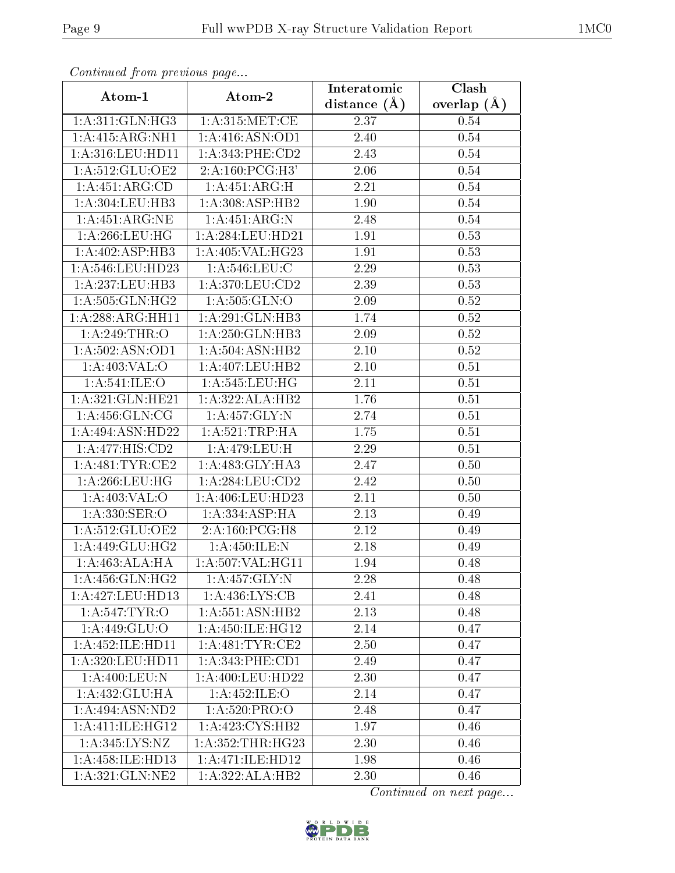| Commaca jibin previous page        |                             | Interatomic       | Clash         |  |
|------------------------------------|-----------------------------|-------------------|---------------|--|
| Atom-1                             | Atom-2                      | distance $(A)$    | overlap $(A)$ |  |
| 1: A:311: GLN: HG3                 | 1: A:315:MET:CE             | 2.37              | 0.54          |  |
| 1:A:415:ARG:NH1                    | 1:A:416:ASN:OD1             | 2.40              | 0.54          |  |
| 1: A:316:LEU:HD11                  | 1: A:343:PHE:CD2            | 2.43              | 0.54          |  |
| 1:A:512:GLU:OE2                    | $2:A:160:PCG:\overline{H3}$ | 2.06              | 0.54          |  |
| 1:A:451:ARG:CD                     | 1:A:451:ARG:H               | 2.21              | $0.54\,$      |  |
| 1:A:304:LEU:HB3                    | 1:A:308:ASP:HB2             | 1.90              | 0.54          |  |
| 1: A:451: ARG: NE                  | 1: A:451: ARG: N            | 2.48              | $0.54\,$      |  |
| 1: A:266:LEU:HG                    | 1:A:284:LEU:HD21            | 1.91              | 0.53          |  |
| 1:A:402:ASP:HB3                    | 1:A:405:VAL:HG23            | 1.91              | 0.53          |  |
| 1: A:546:LEU:HD23                  | 1: A:546:LEU:C              | 2.29              | 0.53          |  |
| 1:A:237:LEU:HB3                    | 1: A:370:LEU:CD2            | 2.39              | 0.53          |  |
| 1: A:505: GLN: HG2                 | 1: A: 505: GLN:O            | 2.09              | $0.52\,$      |  |
| 1:A:288:ARG:HH11                   | 1:A:291:GLN:HB3             | 1.74              | $0.52\,$      |  |
| 1: A:249:THR:O                     | 1:A:250:GLN:HB3             | 2.09              | 0.52          |  |
| 1:A:502:ASN:OD1                    | 1:A:504:ASN:HB2             | 2.10              | 0.52          |  |
| 1: A:403: VAL:O                    | 1:A:407:LEU:HB2             | 2.10              | 0.51          |  |
| 1:A:541:ILE:O                      | 1: A:545:LEU:HG             | 2.11              | 0.51          |  |
| 1:A:321:GLN:HE21                   | 1:A:322:ALA:HB2             | 1.76              | 0.51          |  |
| 1: A: 456: GLN: CG                 | 1:A:457:GLY:N               | 2.74              | 0.51          |  |
| 1:A:494:ASN:HD22                   | 1: A:521:TRP:HA             | 1.75              | 0.51          |  |
| 1:A:477:HIS:CD2                    | 1:A:479:LEU:H               | $\overline{2.29}$ | 0.51          |  |
| 1: A:481:TYR:CE2                   | 1: A:483: GLY:HA3           | 2.47              | 0.50          |  |
| 1: A:266:LEU:HG                    | 1:A:284:LEU:CD2             | 2.42              | 0.50          |  |
| 1:A:403:VAL:O                      | 1:A:406:LEU:HD23            | 2.11              | 0.50          |  |
| 1:A:330:SER:O                      | 1:A:334:ASP:HA              | 2.13              | 0.49          |  |
| 1:A:512:GLU:OE2                    | 2:A:160:PCG:H8              | $\overline{2}.12$ | 0.49          |  |
| 1: A:449: GLU:HG2                  | 1: A:450: ILE:N             | 2.18              | 0.49          |  |
| 1:A:463:ALA:HA                     | 1: A: 507: VAL: HG11        | 1.94              | 0.48          |  |
| 1: A: 456: GLN: HG2                | 1:A:457:GLY:N               | 2.28              | 0.48          |  |
| 1:A:427:LEU:HD13                   | 1: A: 436: LYS: CB          | 2.41              | 0.48          |  |
| $1: A:547:\overline{\text{TYR}:O}$ | 1:A:551:ASN:HB2             | 2.13              | 0.48          |  |
| 1:A:449:GLU:O                      | 1:A:450:ILE:HG12            | 2.14              | 0.47          |  |
| 1:A:452:ILE:HD11                   | 1: A:481:TYR:CE2            | 2.50              | 0.47          |  |
| 1: A:320: LEU: HD11                | 1: A:343:PHE:CD1            | 2.49              | 0.47          |  |
| 1:A:400:LEU:N                      | 1: A:400:LEU:HD22           | 2.30              | 0.47          |  |
| 1:A:432:GLU:HA                     | 1:A:452:ILE:O               | 2.14              | 0.47          |  |
| 1: A:494: ASN:ND2                  | 1: A:520: PRO:O             | 2.48              | 0.47          |  |
| 1: A: 411: ILE: HG12               | 1: A: 423: CYS: HB2         | 1.97              | 0.46          |  |
| 1:A:345:LYS:NZ                     | 1: A: 352: THR: HG23        | 2.30              | 0.46          |  |
| 1:A:458:ILE:HD13                   | 1:A:471:ILE:HD12            | 1.98              | 0.46          |  |
| 1:A:321:GLN:NE2                    | 1:A:322:ALA:HB2             | 2.30              | 0.46          |  |

Continued from previous page.

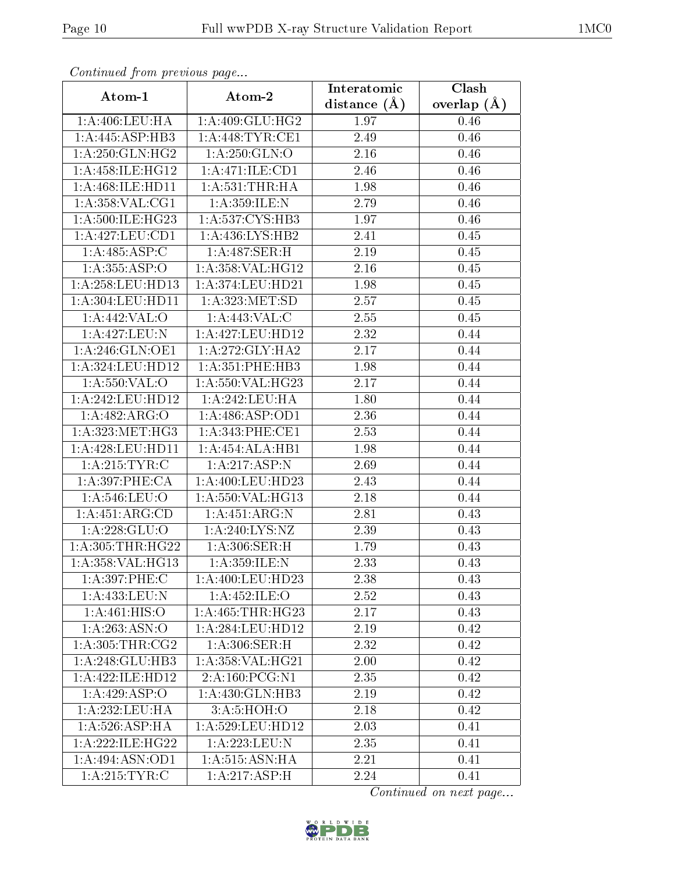| Commaca jibin previous page<br>Clash<br>Interatomic |                            |                   |               |  |  |  |
|-----------------------------------------------------|----------------------------|-------------------|---------------|--|--|--|
| Atom-1                                              | Atom-2                     | distance $(A)$    | overlap $(A)$ |  |  |  |
| 1: A:406: LEU: HA                                   | 1:A:409:GLU:HG2            | 1.97              | 0.46          |  |  |  |
| 1:A:445:ASP:HB3                                     | 1: A:448:TYR:CE1           | $\overline{2.49}$ | 0.46          |  |  |  |
| 1: A:250: GLN: HG2                                  | 1: A:250: GLN:O            | 2.16              | 0.46          |  |  |  |
| 1: A: 458: ILE: HG12                                | 1:A:471:ILE:CD1            | 2.46              | 0.46          |  |  |  |
| 1: A:468: ILE: HDI1                                 | 1: A:531:THR:HA            | 1.98              | 0.46          |  |  |  |
| 1:A:358:VAL:CG1                                     | 1:A:359:ILE:N              | 2.79              | 0.46          |  |  |  |
| 1: A:500:ILE:HG23                                   | 1: A: 537: CYS: HB3        | 1.97              | $0.46\,$      |  |  |  |
| 1:A:427:LEU:CD1                                     | 1:A:436:LYS:HB2            | 2.41              | 0.45          |  |  |  |
| 1:A:485:ASP:C                                       | $1:\overline{A:487:SER:H}$ | 2.19              | 0.45          |  |  |  |
| 1:A:355:ASP:O                                       | 1:A:358:VAL:HG12           | 2.16              | 0.45          |  |  |  |
| 1: A:258:LEU:HD13                                   | 1:A:374:LEU:HD21           | 1.98              | 0.45          |  |  |  |
| 1:A:304:LEU:HD11                                    | 1:A:323:MET:SD             | 2.57              | 0.45          |  |  |  |
| 1:A:442:VAL:O                                       | 1:A:443:VAL:C              | 2.55              | 0.45          |  |  |  |
| 1:A:427:LEU:N                                       | 1:A:427:LEU:HD12           | 2.32              | 0.44          |  |  |  |
| 1: A:246: GLN:OE1                                   | 1:A:272:GLY:HA2            | 2.17              | 0.44          |  |  |  |
| 1:A:324:LEU:HD12                                    | 1:A:351:PHE:HB3            | 1.98              | 0.44          |  |  |  |
| 1:A:550:VAL:O                                       | 1:A:550:VAL:HG23           | 2.17              | 0.44          |  |  |  |
| 1: A:242:LEU:HD12                                   | 1:A:242:LEU:HA             | 1.80              | 0.44          |  |  |  |
| 1:A:482:ARG:O                                       | 1:A:486:ASP:OD1            | 2.36              | 0.44          |  |  |  |
| 1: A: 323: MET:HG3                                  | 1: A:343: PHE:CE1          | 2.53              | 0.44          |  |  |  |
| 1:A:428:LEU:HD11                                    | 1:A:454:ALA:HB1            | 1.98              | 0.44          |  |  |  |
| 1: A:215: TYR: C                                    | 1:A:217:ASP:N              | 2.69              | 0.44          |  |  |  |
| 1:A:397:PHE:CA                                      | 1:A:400:LEU:HD23           | 2.43              | 0.44          |  |  |  |
| 1:A:546:LEU:O                                       | 1:A:550:VAL:HG13           | 2.18              | 0.44          |  |  |  |
| 1:A:451:ARG:CD                                      | 1:A:451:ARG:N              | 2.81              | 0.43          |  |  |  |
| 1:A:228:GLU:O                                       | 1: A:240:LYS:NZ            | 2.39              | 0.43          |  |  |  |
| 1: A: 305: THR: HG22                                | 1: A:306: SER:H            | 1.79              | 0.43          |  |  |  |
| 1: A: 358: VAL: HG13                                | 1:A:359:ILE:N              | 2.33              | 0.43          |  |  |  |
| 1:A:397:PHE:C                                       | 1:A:400:LEU:HD23           | 2.38              | 0.43          |  |  |  |
| 1:A:433:LEU:N                                       | 1:A:452:ILE:O              | 2.52              | 0.43          |  |  |  |
| 1:A:461:HIS:O                                       | 1: A:465:THR:HG23          | 2.17              | 0.43          |  |  |  |
| 1:A:263:ASN:O                                       | 1:A:284:LEU:HD12           | 2.19              | 0.42          |  |  |  |
| 1: A:305:THR:CG2                                    | 1:A:306:SER:H              | 2.32              | 0.42          |  |  |  |
| 1:A:248:GLU:HB3                                     | 1:A:358:VAL:HG21           | 2.00              | 0.42          |  |  |  |
| 1:A:422:ILE:HD12                                    | 2:A:160:PCG:N1             | 2.35              | 0.42          |  |  |  |
| 1: A:429: ASP:O                                     | 1:A:430:GLN:HB3            | 2.19              | 0.42          |  |  |  |
| 1: A: 232: LEU: HA                                  | 3: A:5: HOH:O              | 2.18              | 0.42          |  |  |  |
| 1: A:526: ASP:HA                                    | 1:A:529:LEU:HD12           | 2.03              | 0.41          |  |  |  |
| 1: A:222: ILE: HG22                                 | 1:A:223:LEU:N              | 2.35              | 0.41          |  |  |  |
| 1:A:494:ASN:OD1                                     | 1:A:515:ASN:HA             | 2.21              | 0.41          |  |  |  |
| 1: A:215: TYR: C                                    | 1:A:217:ASP:H              | 2.24              | 0.41          |  |  |  |

Continued from previous page.

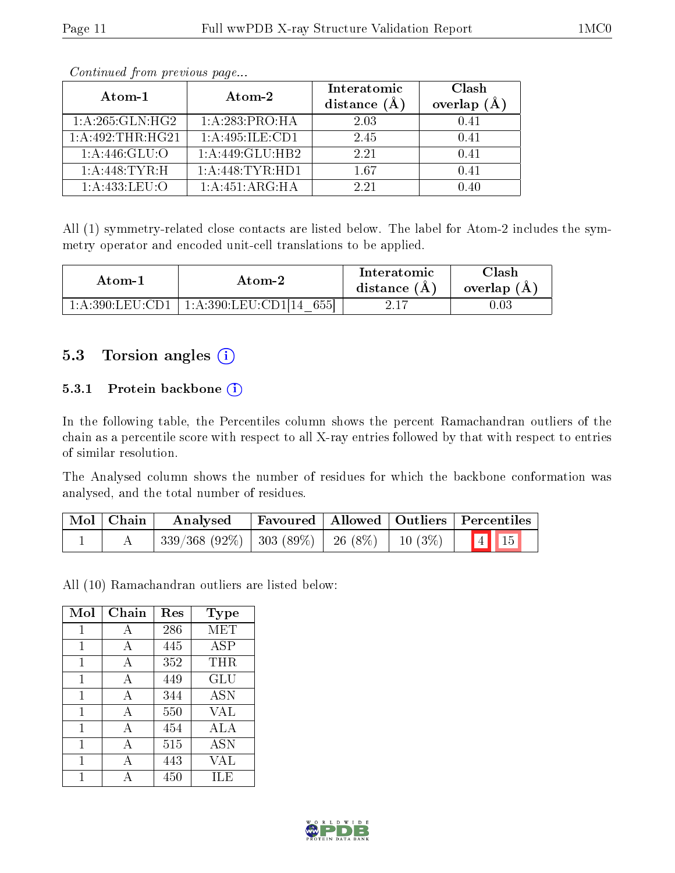| Atom-1                        | Atom-2             | Interatomic<br>distance (A | Clash<br>overlap (Å |
|-------------------------------|--------------------|----------------------------|---------------------|
| 1: A:265: GLN: HG2            | 1:A:283:PRO:HA     | 2.03                       | 0.41                |
| $1:A:\overline{492:THR:HG21}$ | 1:A:495:ILE:CD1    | 2.45                       | 0.41                |
| 1: A:446: GLU:O               | 1:A:449:GLU:HB2    | 2.21                       | 0.41                |
| 1: A:448: TYR:H               | 1: A:448: TYR: HD1 | 167                        | 0.41                |
| 1:A:433:LEU:O                 | 1: A:451: ARG: HA  | 2.21                       | በ 4በ                |

Continued from previous page...

All (1) symmetry-related close contacts are listed below. The label for Atom-2 includes the symmetry operator and encoded unit-cell translations to be applied.

| Atom-1                               | Atom-2                       | Interatomic<br>distance $(A)$ | Clash<br>overlap (A |
|--------------------------------------|------------------------------|-------------------------------|---------------------|
| $1:$ A $:$ 390:LEU $\cdot$ CD1 $\pm$ | 1:A:390:LEU:CD1[14]<br>-6551 |                               | $0.03\,$            |

## 5.3 Torsion angles (i)

#### 5.3.1 Protein backbone (i)

In the following table, the Percentiles column shows the percent Ramachandran outliers of the chain as a percentile score with respect to all X-ray entries followed by that with respect to entries of similar resolution.

The Analysed column shows the number of residues for which the backbone conformation was analysed, and the total number of residues.

| $\mid$ Mol $\mid$ Chain $\mid$ | Analysed                                                                        |  | Favoured   Allowed   Outliers   Percentiles |
|--------------------------------|---------------------------------------------------------------------------------|--|---------------------------------------------|
|                                | $\mid$ 339/368 (92%) $\mid$ 303 (89%) $\mid$ 26 (8%) $\mid$ 10 (3%) $\mid$ 4 15 |  |                                             |

All (10) Ramachandran outliers are listed below:

| Mol | Chain | Res | Type       |
|-----|-------|-----|------------|
| 1   | А     | 286 | MET        |
| 1   | A     | 445 | ASP        |
| 1   | А     | 352 | THR        |
| 1   | A     | 449 | GLU        |
| 1   | A     | 344 | <b>ASN</b> |
| 1   | А     | 550 | <b>VAL</b> |
| 1   | A     | 454 | ALA        |
| 1   | А     | 515 | <b>ASN</b> |
| 1   | А     | 443 | VAL        |
|     | Δ     | 450 | ILE        |

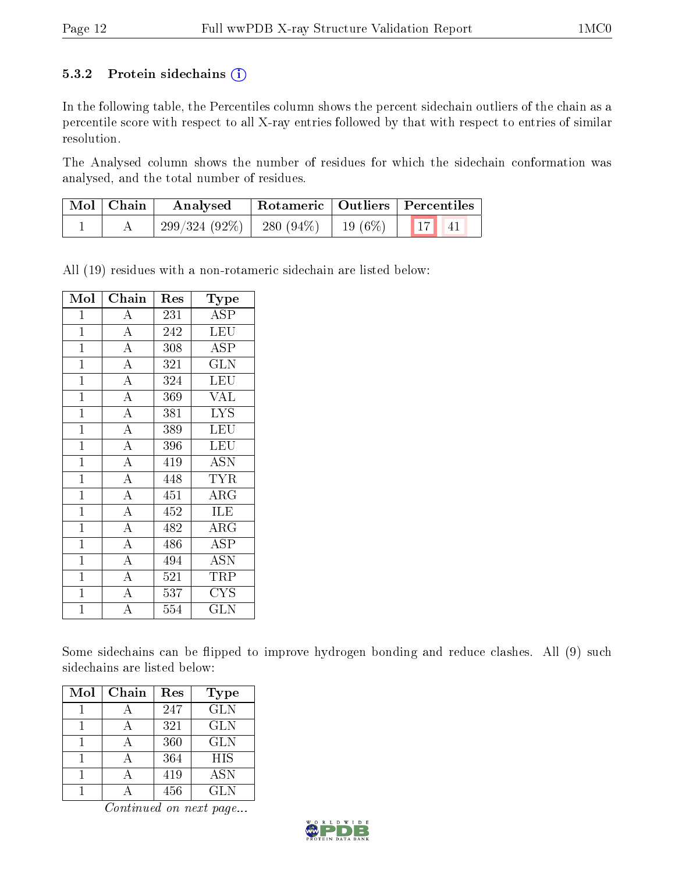#### 5.3.2 Protein sidechains  $(i)$

In the following table, the Percentiles column shows the percent sidechain outliers of the chain as a percentile score with respect to all X-ray entries followed by that with respect to entries of similar resolution.

The Analysed column shows the number of residues for which the sidechain conformation was analysed, and the total number of residues.

| Mol   Chain | Rotameric   Outliers   Percentiles<br>Analysed |  |  |  |  |
|-------------|------------------------------------------------|--|--|--|--|
|             | $299/324(92\%)$ 280 (94\%) 19 (6\%) 17 41      |  |  |  |  |

All (19) residues with a non-rotameric sidechain are listed below:

| Mol            | $Ch\overline{\text{ain}}$ | $\operatorname{Res}% \left( \mathcal{N}\right) \equiv\operatorname{Res}(\mathcal{N}_{0},\mathcal{N}_{0})$ | Type                               |
|----------------|---------------------------|-----------------------------------------------------------------------------------------------------------|------------------------------------|
| 1              | A                         | 231                                                                                                       | <b>ASP</b>                         |
| $\mathbf{1}$   | $\overline{A}$            | 242                                                                                                       | LEU                                |
| $\mathbf{1}$   | $\overline{\rm A}$        | 308                                                                                                       | ASP                                |
| $\mathbf{1}$   | $\overline{\rm A}$        | 321                                                                                                       | <b>GLN</b>                         |
| $\mathbf{1}$   | $\overline{\rm A}$        | 324                                                                                                       | LEU                                |
| $\mathbf{1}$   | $\overline{\rm A}$        | 369                                                                                                       | <b>VAL</b>                         |
| $\overline{1}$ | $\overline{A}$            | 381                                                                                                       | $\overline{\text{LYS}}$            |
| $\overline{1}$ | $\overline{\rm A}$        | 389                                                                                                       | LEU                                |
| $\mathbf{1}$   | $\overline{A}$            | 396                                                                                                       | LEU                                |
| $\overline{1}$ | $\overline{A}$            | 419                                                                                                       | <b>ASN</b>                         |
| $\mathbf{1}$   | $\overline{\rm A}$        | 448                                                                                                       | <b>TYR</b>                         |
| $\mathbf{1}$   | $\overline{\rm A}$        | 451                                                                                                       | ARG                                |
| $\mathbf{1}$   | $\overline{\rm A}$        | 452                                                                                                       | <b>ILE</b>                         |
| $\overline{1}$ | $\overline{\rm A}$        | 482                                                                                                       | $\overline{\rm{ARG}}$              |
| $\overline{1}$ | $\overline{\rm A}$        | 486                                                                                                       | <b>ASP</b>                         |
| $\mathbf{1}$   | $\overline{\rm A}$        | 494                                                                                                       | $\overline{\mathrm{A}}\mathrm{SN}$ |
| $\mathbf{1}$   | $\overline{A}$            | 521                                                                                                       | TRP                                |
| $\mathbf{1}$   | $\overline{\rm A}$        | 537                                                                                                       | <b>CYS</b>                         |
| $\overline{1}$ | $\overline{\rm A}$        | 554                                                                                                       | GLN                                |

Some sidechains can be flipped to improve hydrogen bonding and reduce clashes. All (9) such sidechains are listed below:

| Mol | Chain | Res | Type       |
|-----|-------|-----|------------|
|     |       | 247 | <b>GLN</b> |
|     |       | 321 | <b>GLN</b> |
|     |       | 360 | <b>GLN</b> |
|     |       | 364 | <b>HIS</b> |
|     |       | 419 | ASN        |
|     |       | 456 | <b>GLN</b> |

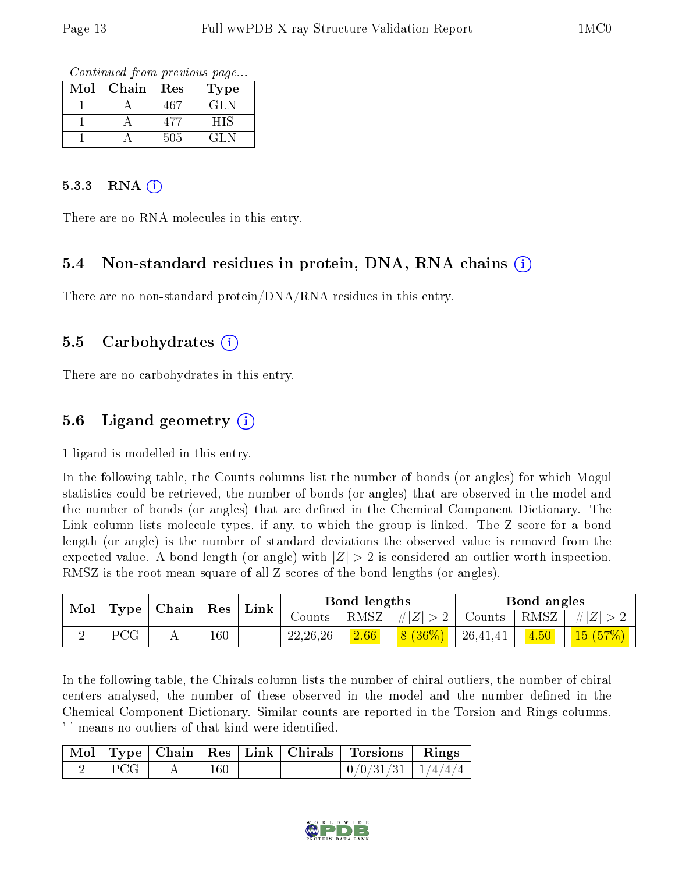Continued from previous page...

| $\operatorname{Mol}$ | Chain | Res | Type |
|----------------------|-------|-----|------|
|                      |       | 467 | GL N |
|                      |       | 477 | НIS  |
|                      |       | 505 | GL N |

#### $5.3.3$  RNA (i)

There are no RNA molecules in this entry.

## 5.4 Non-standard residues in protein, DNA, RNA chains (i)

There are no non-standard protein/DNA/RNA residues in this entry.

### 5.5 Carbohydrates (i)

There are no carbohydrates in this entry.

# 5.6 Ligand geometry (i)

1 ligand is modelled in this entry.

In the following table, the Counts columns list the number of bonds (or angles) for which Mogul statistics could be retrieved, the number of bonds (or angles) that are observed in the model and the number of bonds (or angles) that are dened in the Chemical Component Dictionary. The Link column lists molecule types, if any, to which the group is linked. The Z score for a bond length (or angle) is the number of standard deviations the observed value is removed from the expected value. A bond length (or angle) with  $|Z| > 2$  is considered an outlier worth inspection. RMSZ is the root-mean-square of all Z scores of the bond lengths (or angles).

| Mol | Type | , Chain∣ | $\pm$ Res $^+$ | Link                     |            | Bond lengths |                   |          | Bond angles |         |
|-----|------|----------|----------------|--------------------------|------------|--------------|-------------------|----------|-------------|---------|
|     |      |          |                | Counts-                  | RMSZ       | $\# Z $      | $\mathrm{Counts}$ | RMSZ     | H  Z        |         |
|     | PCG  | A        | 160            | $\overline{\phantom{a}}$ | 22, 26, 26 | 2.66         | $(36\%)$<br> 8    | 26,41,41 | 4.50        | 15(57%) |

In the following table, the Chirals column lists the number of chiral outliers, the number of chiral centers analysed, the number of these observed in the model and the number defined in the Chemical Component Dictionary. Similar counts are reported in the Torsion and Rings columns. '-' means no outliers of that kind were identified.

|     |     |  | Mol   Type   Chain   Res   Link   Chirals   Torsions   Rings |  |
|-----|-----|--|--------------------------------------------------------------|--|
| PCG | 160 |  | $\mid 0/0/31/31 \mid 1/4/4/4 \mid$                           |  |

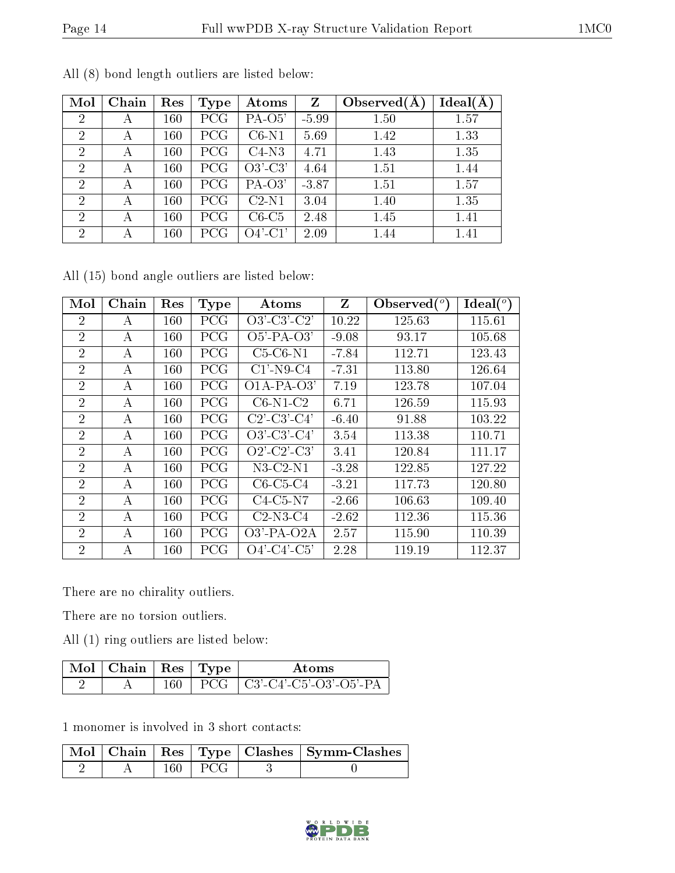| Mol            | Chain | Res | Type | Atoms      | $\mathbf{Z}$ | Observed $(A$ | $Ideal(\AA)$ |
|----------------|-------|-----|------|------------|--------------|---------------|--------------|
| $\overline{2}$ | А     | 160 | PCG  | PA-O5'     | $-5.99$      | 1.50          | 1.57         |
| $\overline{2}$ | А     | 160 | PCG  | $C6-N1$    | 5.69         | 1.42          | 1.33         |
| $\overline{2}$ | А     | 160 | PCG  | $C4-N3$    | 4.71         | 1.43          | 1.35         |
| $\overline{2}$ | А     | 160 | PCG  | $O3'-C3'$  | 4.64         | 1.51          | 1.44         |
| 2              | А     | 160 | PCG  | $PA-O3'$   | $-3.87$      | 1.51          | 1.57         |
| $\overline{2}$ | А     | 160 | PCG  | $C2-N1$    | 3.04         | 1.40          | 1.35         |
| $\overline{2}$ | А     | 160 | PCG  | $C6-C5$    | 2.48         | 1.45          | 1.41         |
| $\overline{2}$ |       | 160 | PCG  | $O4'$ -C1' | 2.09         | 1.44          | 1.41         |

All (8) bond length outliers are listed below:

All (15) bond angle outliers are listed below:

| Mol            | Chain | Res     | Type       | Atoms            | Z       | Observed $(°)$ | Ideal $(^\circ)$ |
|----------------|-------|---------|------------|------------------|---------|----------------|------------------|
| $\overline{2}$ | A     | $160\,$ | PCG        | $O3'-C3'-C2'$    | 10.22   | 125.63         | 115.61           |
| $\overline{2}$ | А     | 160     | PCG        | $O5'$ -PA- $O3'$ | $-9.08$ | 93.17          | 105.68           |
| $\overline{2}$ | А     | 160     | PCG        | $C5-C6-N1$       | $-7.84$ | 112.71         | 123.43           |
| $\overline{2}$ | А     | 160     | PCG        | $C1'$ -N9-C4     | $-7.31$ | 113.80         | 126.64           |
| $\overline{2}$ | А     | 160     | <b>PCG</b> | $O1A-PA-O3'$     | 7.19    | 123.78         | 107.04           |
| $\overline{2}$ | А     | 160     | PCG        | $C6-N1-C2$       | 6.71    | 126.59         | 115.93           |
| $\overline{2}$ | A     | 160     | PCG        | $C2'$ -C3'-C4'   | $-6.40$ | 91.88          | 103.22           |
| $\overline{2}$ | А     | 160     | PCG        | $O3'$ -C3'-C4'   | 3.54    | 113.38         | 110.71           |
| $\overline{2}$ | А     | 160     | PCG        | $O2'$ -C2'-C3'   | 3.41    | 120.84         | 111.17           |
| $\overline{2}$ | А     | 160     | PCG        | $N3-C2-N1$       | $-3.28$ | 122.85         | 127.22           |
| $\overline{2}$ | А     | 160     | PCG        | $C6-C5-C4$       | $-3.21$ | 117.73         | 120.80           |
| $\overline{2}$ | А     | 160     | PCG        | $C4-C5-N7$       | $-2.66$ | 106.63         | 109.40           |
| $\overline{2}$ | A     | 160     | PCG        | $C2-N3-C4$       | $-2.62$ | 112.36         | 115.36           |
| $\overline{2}$ | А     | 160     | <b>PCG</b> | $O3'$ -PA- $O2A$ | 2.57    | 115.90         | 110.39           |
| $\overline{2}$ | А     | 160     | PCG        | $O4'$ -C4'-C5'   | 2.28    | 119.19         | 112.37           |

There are no chirality outliers.

There are no torsion outliers.

All (1) ring outliers are listed below:

| $\sqrt{\rm{Mol}}$   Chain   Res   Type $^+$ |      | Atoms                        |
|---------------------------------------------|------|------------------------------|
|                                             | 160- | PCG   C3'-C4'-C5'-O3'-O5'-PA |

1 monomer is involved in 3 short contacts:

|  |             | Mol   Chain   Res   Type   Clashes   Symm-Clashes |
|--|-------------|---------------------------------------------------|
|  | $160 + PCG$ |                                                   |

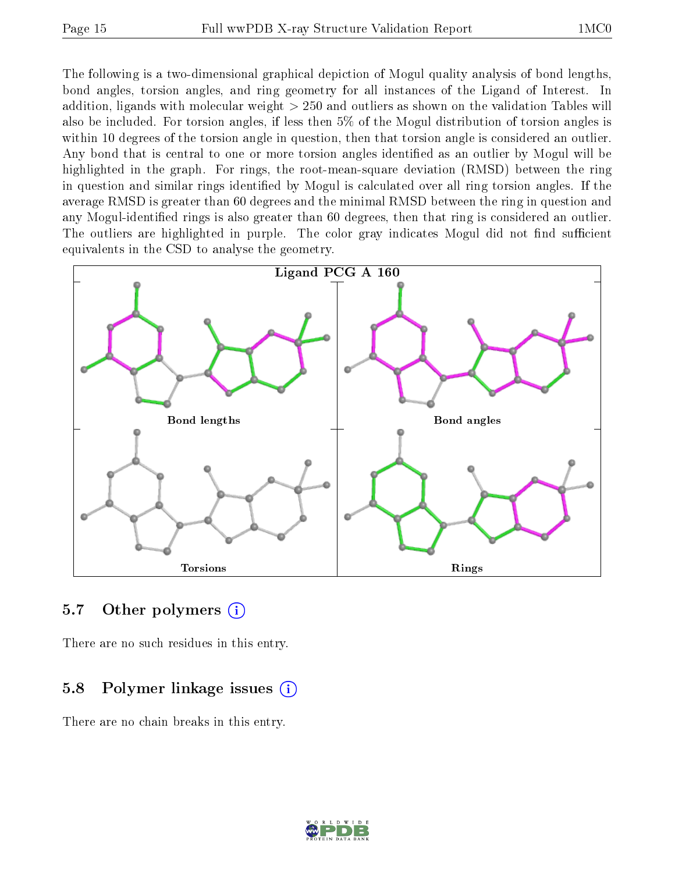The following is a two-dimensional graphical depiction of Mogul quality analysis of bond lengths, bond angles, torsion angles, and ring geometry for all instances of the Ligand of Interest. In addition, ligands with molecular weight > 250 and outliers as shown on the validation Tables will also be included. For torsion angles, if less then 5% of the Mogul distribution of torsion angles is within 10 degrees of the torsion angle in question, then that torsion angle is considered an outlier. Any bond that is central to one or more torsion angles identified as an outlier by Mogul will be highlighted in the graph. For rings, the root-mean-square deviation (RMSD) between the ring in question and similar rings identified by Mogul is calculated over all ring torsion angles. If the average RMSD is greater than 60 degrees and the minimal RMSD between the ring in question and any Mogul-identified rings is also greater than 60 degrees, then that ring is considered an outlier. The outliers are highlighted in purple. The color gray indicates Mogul did not find sufficient equivalents in the CSD to analyse the geometry.



### 5.7 [O](https://www.wwpdb.org/validation/2017/XrayValidationReportHelp#nonstandard_residues_and_ligands)ther polymers (i)

There are no such residues in this entry.

### 5.8 Polymer linkage issues (i)

There are no chain breaks in this entry.

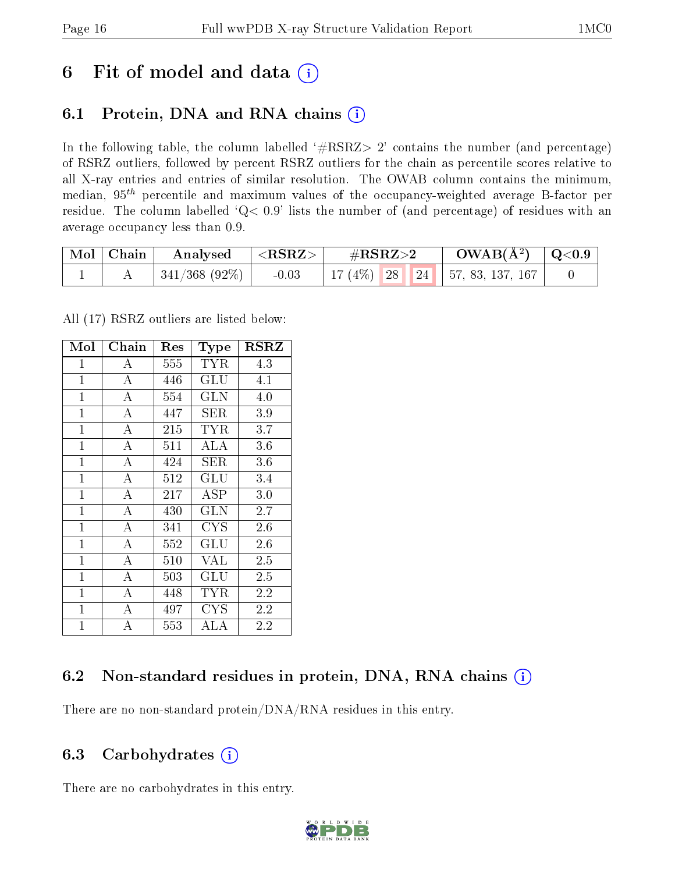# 6 Fit of model and data  $(i)$

# 6.1 Protein, DNA and RNA chains  $(i)$

In the following table, the column labelled  $#RSRZ> 2'$  contains the number (and percentage) of RSRZ outliers, followed by percent RSRZ outliers for the chain as percentile scores relative to all X-ray entries and entries of similar resolution. The OWAB column contains the minimum, median,  $95<sup>th</sup>$  percentile and maximum values of the occupancy-weighted average B-factor per residue. The column labelled ' $Q< 0.9$ ' lists the number of (and percentage) of residues with an average occupancy less than 0.9.

| $\mid$ Mol $\mid$ Chain | Analysed         | $^\circ$ <rsrz></rsrz> | $\#\text{RSRZ}{>}2$ |  | $OWAB(A^2)$ $\vert$ Q<0.9             |  |
|-------------------------|------------------|------------------------|---------------------|--|---------------------------------------|--|
|                         | $341/368$ (92\%) | $-0.03$                |                     |  | 17 (4\%)   28   24   57, 83, 137, 167 |  |

All (17) RSRZ outliers are listed below:

| Mol            | Chain              | Res | Type                 | $_{\rm RSRZ}$ |
|----------------|--------------------|-----|----------------------|---------------|
| $\mathbf 1$    | А                  | 555 | TYR                  | 4.3           |
| $\overline{1}$ | $\overline{A}$     | 446 | GLU                  | 4.1           |
| $\mathbf 1$    | А                  | 554 | GLN                  | 4.0           |
| $\mathbf{1}$   | А                  | 447 | SER                  | 3.9           |
| $\mathbf{1}$   | $\overline{A}$     | 215 | <b>TYR</b>           | 3.7           |
| $\mathbf{1}$   | А                  | 511 | ALA                  | 3.6           |
| $\mathbf{1}$   | $\overline{A}$     | 424 | SER.                 | $3.6\,$       |
| $\mathbf{1}$   | $\overline{\rm A}$ | 512 | $\operatorname{GLU}$ | 3.4           |
| $\mathbf{1}$   | $\overline{A}$     | 217 | ASP                  | 3.0           |
| $\mathbf{1}$   | $\overline{\rm A}$ | 430 | GLN                  | 2.7           |
| $\mathbf{1}$   | $\overline{A}$     | 341 | <b>CYS</b>           | 2.6           |
| $\overline{1}$ | $\overline{A}$     | 552 | $\operatorname{GLU}$ | 2.6           |
| $\overline{1}$ | A                  | 510 | <b>VAL</b>           | 2.5           |
| $\mathbf{1}$   | $\bf{A}$           | 503 | $\operatorname{GLU}$ | 2.5           |
| $\mathbf{1}$   | $\bf{A}$           | 448 | TYR                  | 2.2           |
| $\mathbf{1}$   | $\overline{\rm A}$ | 497 | CYS                  | 2.2           |
| $\mathbf{1}$   | $\overline{A}$     | 553 | ALA                  | 2.2           |

## 6.2 Non-standard residues in protein, DNA, RNA chains (i)

There are no non-standard protein/DNA/RNA residues in this entry.

### 6.3 Carbohydrates  $(i)$

There are no carbohydrates in this entry.